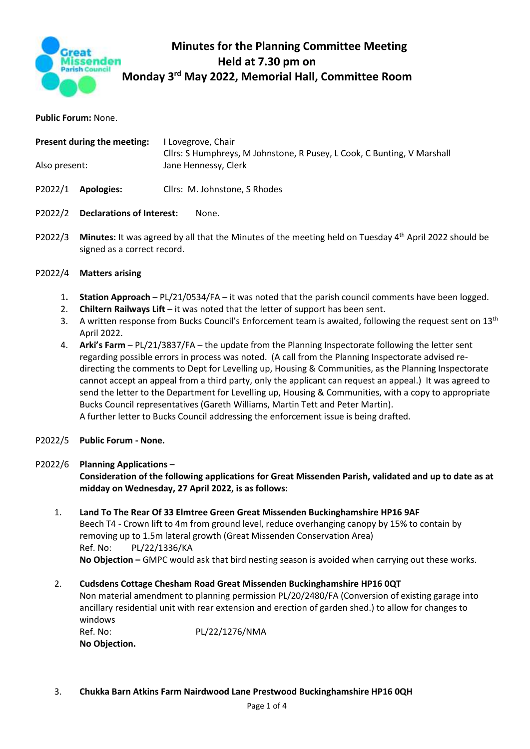

## **Minutes for the Planning Committee Meeting Held at 7.30 pm on Monday 3 rd May 2022, Memorial Hall, Committee Room**

**Public Forum:** None.

| Present during the meeting: |                                  | I Lovegrove, Chair<br>Cllrs: S Humphreys, M Johnstone, R Pusey, L Cook, C Bunting, V Marshall<br>Jane Hennessy, Clerk |
|-----------------------------|----------------------------------|-----------------------------------------------------------------------------------------------------------------------|
| Also present:               |                                  |                                                                                                                       |
|                             | P2022/1 Apologies:               | Cllrs: M. Johnstone, S Rhodes                                                                                         |
| P2022/2                     | <b>Declarations of Interest:</b> | None.                                                                                                                 |

P2022/3 Minutes: It was agreed by all that the Minutes of the meeting held on Tuesday 4<sup>th</sup> April 2022 should be signed as a correct record.

## P2022/4 **Matters arising**

- 1**. Station Approach**  PL/21/0534/FA it was noted that the parish council comments have been logged.
- 2. **Chiltern Railways Lift** it was noted that the letter of support has been sent.
- 3. A written response from Bucks Council's Enforcement team is awaited, following the request sent on 13<sup>th</sup> April 2022.
- 4. **Arki's Farm**  PL/21/3837/FA the update from the Planning Inspectorate following the letter sent regarding possible errors in process was noted. (A call from the Planning Inspectorate advised redirecting the comments to Dept for Levelling up, Housing & Communities, as the Planning Inspectorate cannot accept an appeal from a third party, only the applicant can request an appeal.) It was agreed to send the letter to the Department for Levelling up, Housing & Communities, with a copy to appropriate Bucks Council representatives (Gareth Williams, Martin Tett and Peter Martin). A further letter to Bucks Council addressing the enforcement issue is being drafted.
- P2022/5 **Public Forum - None.**

## P2022/6 **Planning Applications** – **Consideration of the following applications for Great Missenden Parish, validated and up to date as at midday on Wednesday, 27 April 2022, is as follows:**

1. **Land To The Rear Of 33 Elmtree Green Great Missenden Buckinghamshire HP16 9AF** Beech T4 - Crown lift to 4m from ground level, reduce overhanging canopy by 15% to contain by removing up to 1.5m lateral growth (Great Missenden Conservation Area) Ref. No: PL/22/1336/KA **No Objection –** GMPC would ask that bird nesting season is avoided when carrying out these works.

## 2. **Cudsdens Cottage Chesham Road Great Missenden Buckinghamshire HP16 0QT**

Non material amendment to planning permission PL/20/2480/FA (Conversion of existing garage into ancillary residential unit with rear extension and erection of garden shed.) to allow for changes to windows

Ref. No: PL/22/1276/NMA **No Objection.**

3. **Chukka Barn Atkins Farm Nairdwood Lane Prestwood Buckinghamshire HP16 0QH**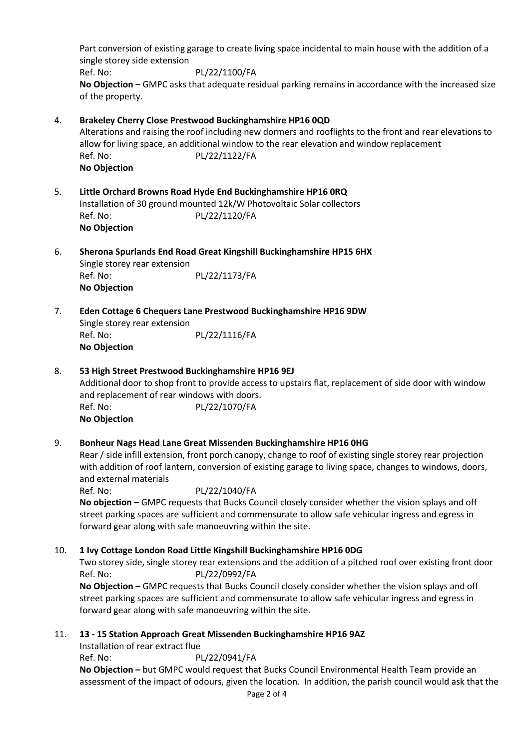Part conversion of existing garage to create living space incidental to main house with the addition of a single storey side extension Ref. No: PL/22/1100/FA **No Objection** – GMPC asks that adequate residual parking remains in accordance with the increased size of the property.

# 4. **Brakeley Cherry Close Prestwood Buckinghamshire HP16 0QD**

Alterations and raising the roof including new dormers and rooflights to the front and rear elevations to allow for living space, an additional window to the rear elevation and window replacement Ref. No: PL/22/1122/FA **No Objection**

- 5. **Little Orchard Browns Road Hyde End Buckinghamshire HP16 0RQ** Installation of 30 ground mounted 12k/W Photovoltaic Solar collectors Ref. No: PL/22/1120/FA **No Objection**
- 6. **Sherona Spurlands End Road Great Kingshill Buckinghamshire HP15 6HX** Single storey rear extension

Ref. No: PL/22/1173/FA **No Objection**

7. **Eden Cottage 6 Chequers Lane Prestwood Buckinghamshire HP16 9DW** Single storey rear extension Ref. No: PL/22/1116/FA **No Objection**

## 8. **53 High Street Prestwood Buckinghamshire HP16 9EJ**

Additional door to shop front to provide access to upstairs flat, replacement of side door with window and replacement of rear windows with doors. Ref. No: PL/22/1070/FA **No Objection**

## 9. **Bonheur Nags Head Lane Great Missenden Buckinghamshire HP16 0HG**

Rear / side infill extension, front porch canopy, change to roof of existing single storey rear projection with addition of roof lantern, conversion of existing garage to living space, changes to windows, doors, and external materials

Ref. No: PL/22/1040/FA **No objection –** GMPC requests that Bucks Council closely consider whether the vision splays and off street parking spaces are sufficient and commensurate to allow safe vehicular ingress and egress in forward gear along with safe manoeuvring within the site.

## 10. **1 Ivy Cottage London Road Little Kingshill Buckinghamshire HP16 0DG**

Two storey side, single storey rear extensions and the addition of a pitched roof over existing front door Ref. No: PL/22/0992/FA **No Objection –** GMPC requests that Bucks Council closely consider whether the vision splays and off street parking spaces are sufficient and commensurate to allow safe vehicular ingress and egress in

forward gear along with safe manoeuvring within the site.

## 11. **13 - 15 Station Approach Great Missenden Buckinghamshire HP16 9AZ**

Installation of rear extract flue Ref. No: PL/22/0941/FA **No Objection –** but GMPC would request that Bucks Council Environmental Health Team provide an assessment of the impact of odours, given the location. In addition, the parish council would ask that the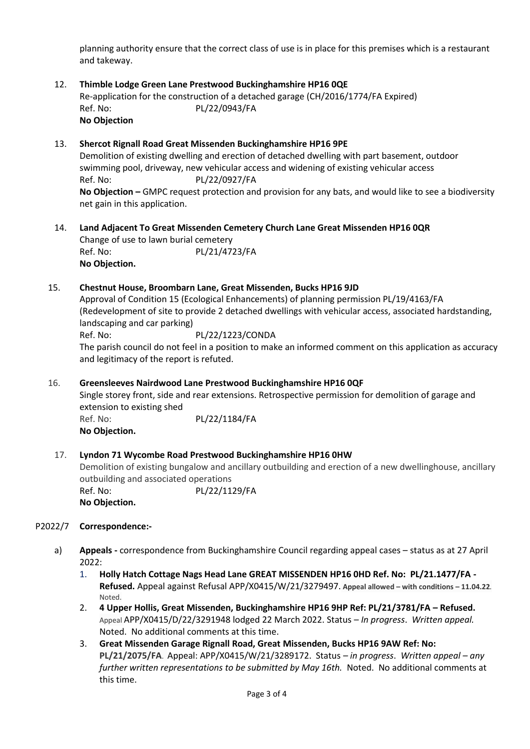planning authority ensure that the correct class of use is in place for this premises which is a restaurant and takeway.

12. **Thimble Lodge Green Lane Prestwood Buckinghamshire HP16 0QE** Re-application for the construction of a detached garage (CH/2016/1774/FA Expired) Ref. No: PL/22/0943/FA **No Objection**

#### 13. **Shercot Rignall Road Great Missenden Buckinghamshire HP16 9PE**

Demolition of existing dwelling and erection of detached dwelling with part basement, outdoor swimming pool, driveway, new vehicular access and widening of existing vehicular access Ref. No: PL/22/0927/FA **No Objection –** GMPC request protection and provision for any bats, and would like to see a biodiversity net gain in this application.

14. **Land Adjacent To Great Missenden Cemetery Church Lane Great Missenden HP16 0QR** Change of use to lawn burial cemetery Ref. No: PL/21/4723/FA **No Objection.**

#### 15. **Chestnut House, Broombarn Lane, Great Missenden, Bucks HP16 9JD**

Approval of Condition 15 (Ecological Enhancements) of planning permission PL/19/4163/FA (Redevelopment of site to provide 2 detached dwellings with vehicular access, associated hardstanding, landscaping and car parking)

Ref. No: PL/22/1223/CONDA The parish council do not feel in a position to make an informed comment on this application as accuracy and legitimacy of the report is refuted.

#### 16. **Greensleeves Nairdwood Lane Prestwood Buckinghamshire HP16 0QF**

Single storey front, side and rear extensions. Retrospective permission for demolition of garage and extension to existing shed Ref. No: PL/22/1184/FA **No Objection.**

#### 17. **Lyndon 71 Wycombe Road Prestwood Buckinghamshire HP16 0HW**

Demolition of existing bungalow and ancillary outbuilding and erection of a new dwellinghouse, ancillary outbuilding and associated operations Ref. No: PL/22/1129/FA

**No Objection.**

#### P2022/7 **Correspondence:-**

- a) **Appeals -** correspondence from Buckinghamshire Council regarding appeal cases status as at 27 April 2022:
	- 1. **Holly Hatch Cottage Nags Head Lane GREAT MISSENDEN HP16 0HD Ref. No: PL/21.1477/FA - Refused.** Appeal against Refusal APP/X0415/W/21/3279497. **Appeal allowed – with conditions – 11.04.22***.* Noted.
	- 2. **4 Upper Hollis, Great Missenden, Buckinghamshire HP16 9HP Ref: PL/21/3781/FA – Refused.** Appeal APP/X0415/D/22/3291948 lodged 22 March 2022. Status – *In progress*. *Written appeal.* Noted. No additional comments at this time.
	- 3. **Great Missenden Garage Rignall Road, Great Missenden, Bucks HP16 9AW Ref: No: PL/21/2075/FA**. Appeal: APP/X0415/W/21/3289172. Status *– in progress*. *Written appeal – any further written representations to be submitted by May 16th.* Noted. No additional comments at this time.